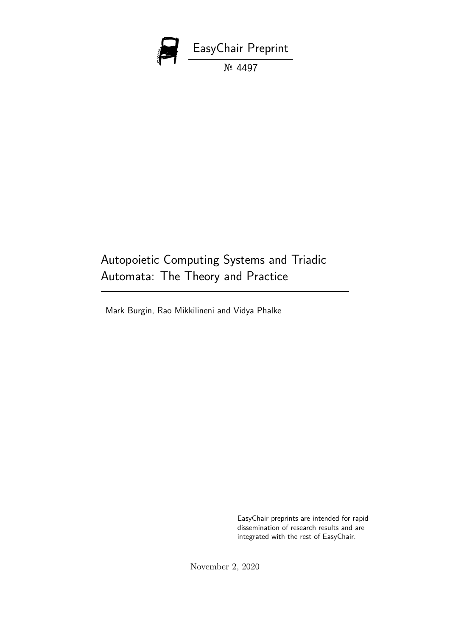

# Autopoietic Computing Systems and Triadic Automata: The Theory and Practice

Mark Burgin, Rao Mikkilineni and Vidya Phalke

EasyChair preprints are intended for rapid dissemination of research results and are integrated with the rest of EasyChair.

November 2, 2020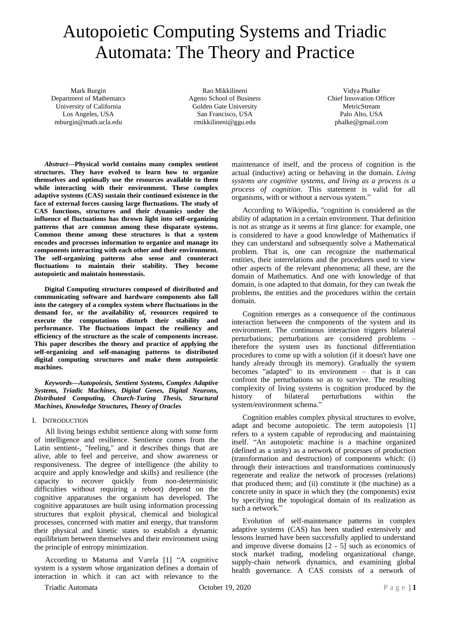# Autopoietic Computing Systems and Triadic Automata: The Theory and Practice

Mark Burgin Department of Mathematcs University of California Los Angeles, USA mburgin@math.ucla.edu

Rao Mikkilineni Ageno School of Business Golden Gate University San Francisco, USA rmikkilineni@ggu.edu

Vidya Phalke Chief Innovation Officer MetricStream Palo Alto, USA phalke@gmail.com

*Abstract***—Physical world contains many complex sentient structures. They have evolved to learn how to organize themselves and optimally use the resources available to them while interacting with their environment. These complex adaptive systems (CAS) sustain their continued existence in the face of external forces causing large fluctuations. The study of CAS functions, structures and their dynamics under the influence of fluctuations has thrown light into self-organizing patterns that are common among these disparate systems. Common theme among these structures is that a system encodes and processes information to organize and manage its components interacting with each other and their environment. The self-organizing patterns also sense and counteract fluctuations to maintain their stability. They become autopoietic and maintain homeostasis.**

**Digital Computing structures composed of distributed and communicating software and hardware components also fall into the category of a complex system where fluctuations in the demand for, or the availability of, resources required to execute the computations disturb their stability and performance. The fluctuations impact the resiliency and efficiency of the structure as the scale of components increase. This paper describes the theory and practice of applying the self-organizing and self-managing patterns to distributed digital computing structures and make them autopoietic machines.**

*Keywords—Autopoiesis, Sentient Systems, Complex Adaptive Systems, Triadic Machines, Digital Genes, Digital Neurons, Distributed Computing, Church-Turing Thesis, Structural Machines, Knowledge Structures, Theory of Oracles*

#### I. INTRODUCTION

All living beings exhibit sentience along with some form of intelligence and resilience. Sentience comes from the Latin sentient-, "feeling," and it describes things that are alive, able to feel and perceive, and show awareness or responsiveness. The degree of intelligence (the ability to acquire and apply knowledge and skills) and resilience (the capacity to recover quickly from non-deterministic difficulties without requiring a reboot) depend on the cognitive apparatuses the organism has developed. The cognitive apparatuses are built using information processing structures that exploit physical, chemical and biological processes, concerned with matter and energy, that transform their physical and kinetic states to establish a dynamic equilibrium between themselves and their environment using the principle of entropy minimization.

According to Maturna and Varela [1] "A cognitive system is a system whose organization defines a domain of interaction in which it can act with relevance to the

maintenance of itself, and the process of cognition is the actual (inductive) acting or behaving in the domain*. Living systems are cognitive systems, and living as a process is a process of cognition*. This statement is valid for all organisms, with or without a nervous system."

According to Wikipedia, "cognition is considered as the ability of adaptation in a certain environment. That definition is not as strange as it seems at first glance: for example, one is considered to have a good knowledge of Mathematics if they can understand and subsequently solve a Mathematical problem. That is, one can recognize the mathematical entities, their interrelations and the procedures used to view other aspects of the relevant phenomena; all these, are the domain of Mathematics. And one with knowledge of that domain, is one adapted to that domain, for they can tweak the problems, the entities and the procedures within the certain domain.

Cognition emerges as a consequence of the continuous interaction between the components of the system and its environment. The continuous interaction triggers bilateral perturbations; perturbations are considered problems – therefore the system uses its functional differentiation procedures to come up with a solution (if it doesn't have one handy already through its memory). Gradually the system becomes "adapted" to its environment – that is it can confront the perturbations so as to survive. The resulting complexity of living systems is cognition produced by the history of bilateral perturbations within the system/environment schema."

Cognition enables complex physical structures to evolve, adapt and become autopoietic. The term autopoiesis [1] refers to a system capable of reproducing and maintaining itself. "An autopoietic machine is a machine organized (defined as a unity) as a network of processes of production (transformation and destruction) of components which: (i) through their interactions and transformations continuously regenerate and realize the network of processes (relations) that produced them; and (ii) constitute it (the machine) as a concrete unity in space in which they (the components) exist by specifying the topological domain of its realization as such a network."

Evolution of self-maintenance patterns in complex adaptive systems (CAS) has been studied extensively and lessons learned have been successfully applied to understand and improve diverse domains [2 - 5] such as economics of stock market trading, modeling organizational change, supply-chain network dynamics, and examining global health governance. A CAS consists of a network of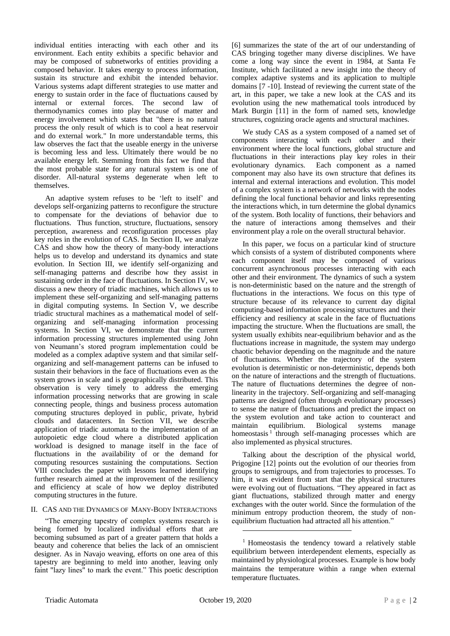individual entities interacting with each other and its environment. Each entity exhibits a specific behavior and may be composed of subnetworks of entities providing a composed behavior. It takes energy to process information, sustain its structure and exhibit the intended behavior. Various systems adapt different strategies to use matter and energy to sustain order in the face of fluctuations caused by internal or external forces. The second law of thermodynamics comes into play because of matter and energy involvement which states that "there is no natural process the only result of which is to cool a heat reservoir and do external work." In more understandable terms, this law observes the fact that the useable energy in the universe is becoming less and less. Ultimately there would be no available energy left. Stemming from this fact we find that the most probable state for any natural system is one of disorder. All-natural systems degenerate when left to themselves.

An adaptive system refuses to be 'left to itself' and develops self-organizing patterns to reconfigure the structure to compensate for the deviations of behavior due to fluctuations. Thus function, structure, fluctuations, sensory perception, awareness and reconfiguration processes play key roles in the evolution of CAS. In Section II, we analyze CAS and show how the theory of many-body interactions helps us to develop and understand its dynamics and state evolution. In Section III, we identify self-organizing and self-managing patterns and describe how they assist in sustaining order in the face of fluctuations. In Section IV, we discuss a new theory of triadic machines, which allows us to implement these self-organizing and self-managing patterns in digital computing systems. In Section V, we describe triadic structural machines as a mathematical model of selforganizing and self-managing information processing systems. In Section VI, we demonstrate that the current information processing structures implemented using John von Neumann's stored program implementation could be modeled as a complex adaptive system and that similar selforganizing and self-management patterns can be infused to sustain their behaviors in the face of fluctuations even as the system grows in scale and is geographically distributed. This observation is very timely to address the emerging information processing networks that are growing in scale connecting people, things and business process automation computing structures deployed in public, private, hybrid clouds and datacenters. In Section VII, we describe application of triadic automata to the implementation of an autopoietic edge cloud where a distributed application workload is designed to manage itself in the face of fluctuations in the availability of or the demand for computing resources sustaining the computations. Section VIII concludes the paper with lessons learned identifying further research aimed at the improvement of the resiliency and efficiency at scale of how we deploy distributed computing structures in the future.

## II. CAS AND THE DYNAMICS OF MANY-BODY INTERACTIONS

"The emerging tapestry of complex systems research is being formed by localized individual efforts that are becoming subsumed as part of a greater pattern that holds a beauty and coherence that belies the lack of an omniscient designer. As in Navajo weaving, efforts on one area of this tapestry are beginning to meld into another, leaving only faint "lazy lines" to mark the event." This poetic description

[6] summarizes the state of the art of our understanding of CAS bringing together many diverse disciplines. We have come a long way since the event in 1984, at Santa Fe Institute, which facilitated a new insight into the theory of complex adaptive systems and its application to multiple domains [7 -10]. Instead of reviewing the current state of the art, in this paper, we take a new look at the CAS and its evolution using the new mathematical tools introduced by Mark Burgin [11] in the form of named sets, knowledge structures, cognizing oracle agents and structural machines.

We study CAS as a system composed of a named set of components interacting with each other and their environment where the local functions, global structure and fluctuations in their interactions play key roles in their evolutionary dynamics. Each component as a named component may also have its own structure that defines its internal and external interactions and evolution. This model of a complex system is a network of networks with the nodes defining the local functional behavior and links representing the interactions which, in turn determine the global dynamics of the system. Both locality of functions, their behaviors and the nature of interactions among themselves and their environment play a role on the overall structural behavior.

In this paper, we focus on a particular kind of structure which consists of a system of distributed components where each component itself may be composed of various concurrent asynchronous processes interacting with each other and their environment. The dynamics of such a system is non-deterministic based on the nature and the strength of fluctuations in the interactions. We focus on this type of structure because of its relevance to current day digital computing-based information processing structures and their efficiency and resiliency at scale in the face of fluctuations impacting the structure. When the fluctuations are small, the system usually exhibits near-equilibrium behavior and as the fluctuations increase in magnitude, the system may undergo chaotic behavior depending on the magnitude and the nature of fluctuations. Whether the trajectory of the system evolution is deterministic or non-deterministic, depends both on the nature of interactions and the strength of fluctuations. The nature of fluctuations determines the degree of nonlinearity in the trajectory. Self-organizing and self-managing patterns are designed (often through evolutionary processes) to sense the nature of fluctuations and predict the impact on the system evolution and take action to counteract and maintain equilibrium. Biological systems manage homeostasis<sup>1</sup> through self-managing processes which are also implemented as physical structures.

Talking about the description of the physical world, Prigogine [12] points out the evolution of our theories from groups to semigroups, and from trajectories to processes. To him, it was evident from start that the physical structures were evolving out of fluctuations. "They appeared in fact as giant fluctuations, stabilized through matter and energy exchanges with the outer world. Since the formulation of the minimum entropy production theorem, the study of nonequilibrium fluctuation had attracted all his attention."

<sup>&</sup>lt;sup>1</sup> Homeostasis the tendency toward a relatively stable equilibrium between interdependent elements, especially as maintained by physiological processes. Example is how body maintains the temperature within a range when external temperature fluctuates.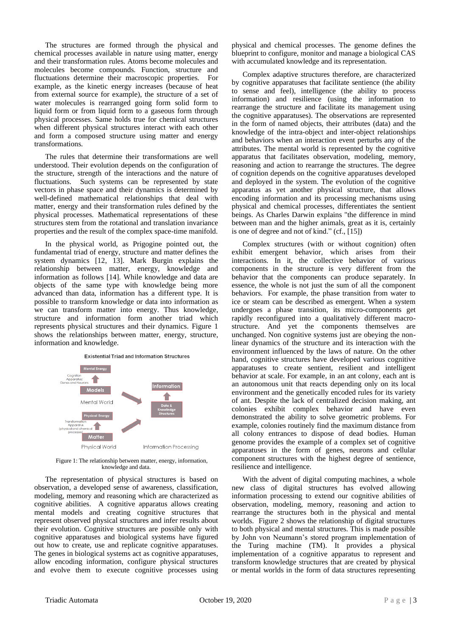The structures are formed through the physical and chemical processes available in nature using matter, energy and their transformation rules. Atoms become molecules and molecules become compounds. Function, structure and fluctuations determine their macroscopic properties. For example, as the kinetic energy increases (because of heat from external source for example), the structure of a set of water molecules is rearranged going form solid form to liquid form or from liquid form to a gaseous form through physical processes. Same holds true for chemical structures when different physical structures interact with each other and form a composed structure using matter and energy transformations.

The rules that determine their transformations are well understood. Their evolution depends on the configuration of the structure, strength of the interactions and the nature of fluctuations. Such systems can be represented by state vectors in phase space and their dynamics is determined by well-defined mathematical relationships that deal with matter, energy and their transformation rules defined by the physical processes. Mathematical representations of these structures stem from the rotational and translation invariance properties and the result of the complex space-time manifold.

In the physical world, as Prigogine pointed out, the fundamental triad of energy, structure and matter defines the system dynamics [12, 13]. Mark Burgin explains the relationship between matter, energy, knowledge and information as follows [14]. While knowledge and data are objects of the same type with knowledge being more advanced than data, information has a different type. It is possible to transform knowledge or data into information as we can transform matter into energy. Thus knowledge, structure and information form another triad which represents physical structures and their dynamics. Figure 1 shows the relationships between matter, energy, structure, information and knowledge.

**Existential Triad and Information Structures** 



Figure 1: The relationship between matter, energy, information, knowledge and data.

The representation of physical structures is based on observation, a developed sense of awareness, classification, modeling, memory and reasoning which are characterized as cognitive abilities. A cognitive apparatus allows creating mental models and creating cognitive structures that represent observed physical structures and infer results about their evolution. Cognitive structures are possible only with cognitive apparatuses and biological systems have figured out how to create, use and replicate cognitive apparatuses. The genes in biological systems act as cognitive apparatuses, allow encoding information, configure physical structures and evolve them to execute cognitive processes using

physical and chemical processes. The genome defines the blueprint to configure, monitor and manage a biological CAS with accumulated knowledge and its representation.

Complex adaptive structures therefore, are characterized by cognitive apparatuses that facilitate sentience (the ability to sense and feel), intelligence (the ability to process information) and resilience (using the information to rearrange the structure and facilitate its management using the cognitive apparatuses). The observations are represented in the form of named objects, their attributes (data) and the knowledge of the intra-object and inter-object relationships and behaviors when an interaction event perturbs any of the attributes. The mental world is represented by the cognitive apparatus that facilitates observation, modeling, memory, reasoning and action to rearrange the structures. The degree of cognition depends on the cognitive apparatuses developed and deployed in the system. The evolution of the cognitive apparatus as yet another physical structure, that allows encoding information and its processing mechanisms using physical and chemical processes, differentiates the sentient beings. As Charles Darwin explains "the difference in mind between man and the higher animals, great as it is, certainly is one of degree and not of kind." (cf., [15])

Complex structures (with or without cognition) often exhibit emergent behavior, which arises from their interactions. In it, the collective behavior of various components in the structure is very different from the behavior that the components can produce separately. In essence, the whole is not just the sum of all the component behaviors. For example, the phase transition from water to ice or steam can be described as emergent. When a system undergoes a phase transition, its micro-components get rapidly reconfigured into a qualitatively different macrostructure. And yet the components themselves are unchanged. Non cognitive systems just are obeying the nonlinear dynamics of the structure and its interaction with the environment influenced by the laws of nature. On the other hand, cognitive structures have developed various cognitive apparatuses to create sentient, resilient and intelligent behavior at scale. For example, in an ant colony, each ant is an autonomous unit that reacts depending only on its local environment and the genetically encoded rules for its variety of ant. Despite the lack of centralized decision making, ant colonies exhibit complex behavior and have even demonstrated the ability to solve geometric problems. For example, colonies routinely find the maximum distance from all colony entrances to dispose of dead bodies. Human genome provides the example of a complex set of cognitive apparatuses in the form of genes, neurons and cellular component structures with the highest degree of sentience, resilience and intelligence.

With the advent of digital computing machines, a whole new class of digital structures has evolved allowing information processing to extend our cognitive abilities of observation, modeling, memory, reasoning and action to rearrange the structures both in the physical and mental worlds. Figure 2 shows the relationship of digital structures to both physical and mental structures. This is made possible by John von Neumann's stored program implementation of the Turing machine (TM). It provides a physical implementation of a cognitive apparatus to represent and transform knowledge structures that are created by physical or mental worlds in the form of data structures representing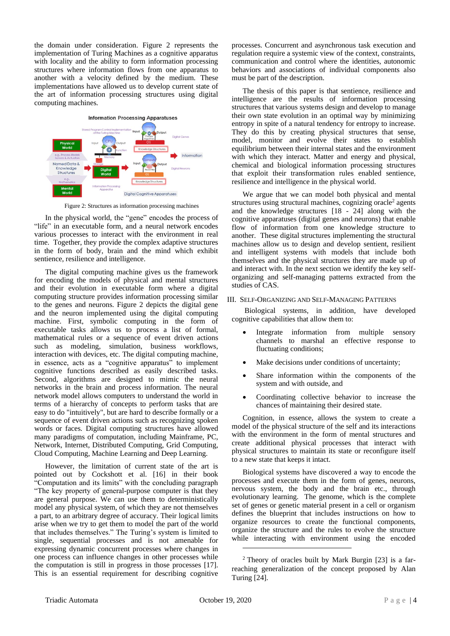the domain under consideration. Figure 2 represents the implementation of Turing Machines as a cognitive apparatus with locality and the ability to form information processing structures where information flows from one apparatus to another with a velocity defined by the medium. These implementations have allowed us to develop current state of the art of information processing structures using digital computing machines.



Figure 2: Structures as information processing machines

In the physical world, the "gene" encodes the process of "life" in an executable form, and a neural network encodes various processes to interact with the environment in real time. Together, they provide the complex adaptive structures in the form of body, brain and the mind which exhibit sentience, resilience and intelligence.

The digital computing machine gives us the framework for encoding the models of physical and mental structures and their evolution in executable form where a digital computing structure provides information processing similar to the genes and neurons. Figure 2 depicts the digital gene and the neuron implemented using the digital computing machine. First, symbolic computing in the form of executable tasks allows us to process a list of formal, mathematical rules or a sequence of event driven actions such as modeling, simulation, business workflows, interaction with devices, etc. The digital computing machine, in essence, acts as a "cognitive apparatus" to implement cognitive functions described as easily described tasks. Second, algorithms are designed to mimic the neural networks in the brain and process information. The neural network model allows computers to understand the world in terms of a hierarchy of concepts to perform tasks that are easy to do "intuitively", but are hard to describe formally or a sequence of event driven actions such as recognizing spoken words or faces. Digital computing structures have allowed many paradigms of computation, including Mainframe, PC, Network, Internet, Distributed Computing, Grid Computing, Cloud Computing, Machine Learning and Deep Learning.

However, the limitation of current state of the art is pointed out by Cockshott et al. [16] in their book "Computation and its limits" with the concluding paragraph "The key property of general-purpose computer is that they are general purpose. We can use them to deterministically model any physical system, of which they are not themselves a part, to an arbitrary degree of accuracy. Their logical limits arise when we try to get them to model the part of the world that includes themselves." The Turing's system is limited to single, sequential processes and is not amenable for expressing dynamic concurrent processes where changes in one process can influence changes in other processes while the computation is still in progress in those processes [17]. This is an essential requirement for describing cognitive

processes. Concurrent and asynchronous task execution and regulation require a systemic view of the context, constraints, communication and control where the identities, autonomic behaviors and associations of individual components also must be part of the description.

The thesis of this paper is that sentience, resilience and intelligence are the results of information processing structures that various systems design and develop to manage their own state evolution in an optimal way by minimizing entropy in spite of a natural tendency for entropy to increase. They do this by creating physical structures that sense, model, monitor and evolve their states to establish equilibrium between their internal states and the environment with which they interact. Matter and energy and physical, chemical and biological information processing structures that exploit their transformation rules enabled sentience, resilience and intelligence in the physical world.

We argue that we can model both physical and mental structures using structural machines, cognizing oracle<sup>2</sup> agents and the knowledge structures [18 - 24] along with the cognitive apparatuses (digital genes and neurons) that enable flow of information from one knowledge structure to another. These digital structures implementing the structural machines allow us to design and develop sentient, resilient and intelligent systems with models that include both themselves and the physical structures they are made up of and interact with. In the next section we identify the key selforganizing and self-managing patterns extracted from the studies of CAS.

#### III. SELF-ORGANIZING AND SELF-MANAGING PATTERNS

Biological systems, in addition, have developed cognitive capabilities that allow them to:

- Integrate information from multiple sensory channels to marshal an effective response to fluctuating conditions;
- Make decisions under conditions of uncertainty;
- Share information within the components of the system and with outside, and
- Coordinating collective behavior to increase the chances of maintaining their desired state.

Cognition, in essence, allows the system to create a model of the physical structure of the self and its interactions with the environment in the form of mental structures and create additional physical processes that interact with physical structures to maintain its state or reconfigure itself to a new state that keeps it intact.

Biological systems have discovered a way to encode the processes and execute them in the form of genes, neurons, nervous system, the body and the brain etc., through evolutionary learning. The genome, which is the complete set of genes or genetic material present in a cell or organism defines the blueprint that includes instructions on how to organize resources to create the functional components, organize the structure and the rules to evolve the structure while interacting with environment using the encoded

<sup>2</sup> Theory of oracles built by Mark Burgin [23] is a farreaching generalization of the concept proposed by Alan Turing [24].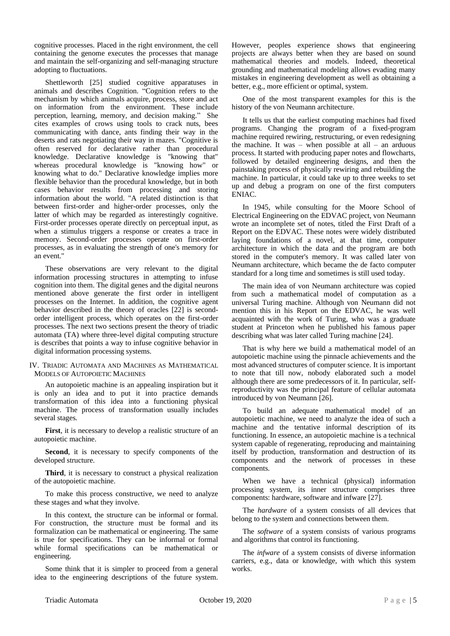cognitive processes. Placed in the right environment, the cell containing the genome executes the processes that manage and maintain the self-organizing and self-managing structure adopting to fluctuations.

Shettleworth [25] studied cognitive apparatuses in animals and describes Cognition. "Cognition refers to the mechanism by which animals acquire, process, store and act on information from the environment. These include perception, learning, memory, and decision making." She cites examples of crows using tools to crack nuts, bees communicating with dance, ants finding their way in the deserts and rats negotiating their way in mazes. "Cognitive is often reserved for declarative rather than procedural knowledge. Declarative knowledge is "knowing that" whereas procedural knowledge is "knowing how" or knowing what to do." Declarative knowledge implies more flexible behavior than the procedural knowledge, but in both cases behavior results from processing and storing information about the world. "A related distinction is that between first-order and higher-order processes, only the latter of which may be regarded as interestingly cognitive. First-order processes operate directly on perceptual input, as when a stimulus triggers a response or creates a trace in memory. Second-order processes operate on first-order processes, as in evaluating the strength of one's memory for an event."

These observations are very relevant to the digital information processing structures in attempting to infuse cognition into them. The digital genes and the digital neurons mentioned above generate the first order in intelligent processes on the Internet. In addition, the cognitive agent behavior described in the theory of oracles [22] is secondorder intelligent process, which operates on the first-order processes. The next two sections present the theory of triadic automata (TA) where three-level digital computing structure is describes that points a way to infuse cognitive behavior in digital information processing systems.

#### IV. TRIADIC AUTOMATA AND MACHINES AS MATHEMATICAL MODELS OF AUTOPOIETIC MACHINES

An autopoietic machine is an appealing inspiration but it is only an idea and to put it into practice demands transformation of this idea into a functioning physical machine. The process of transformation usually includes several stages.

**First**, it is necessary to develop a realistic structure of an autopoietic machine.

**Second**, it is necessary to specify components of the developed structure.

**Third**, it is necessary to construct a physical realization of the autopoietic machine.

To make this process constructive, we need to analyze these stages and what they involve.

In this context, the structure can be informal or formal. For construction, the structure must be formal and its formalization can be mathematical or engineering. The same is true for specifications. They can be informal or formal while formal specifications can be mathematical or engineering.

Some think that it is simpler to proceed from a general idea to the engineering descriptions of the future system. However, peoples experience shows that engineering projects are always better when they are based on sound mathematical theories and models. Indeed, theoretical grounding and mathematical modeling allows evading many mistakes in engineering development as well as obtaining a better, e.g., more efficient or optimal, system.

One of the most transparent examples for this is the history of the von Neumann architecture.

It tells us that the earliest computing machines had fixed programs. Changing the program of a fixed-program machine required rewiring, restructuring, or even redesigning the machine. It was – when possible at all – an arduous process. It started with producing paper notes and flowcharts, followed by detailed engineering designs, and then the painstaking process of physically rewiring and rebuilding the machine. In particular, it could take up to three weeks to set up and debug a program on one of the first computers ENIAC.

In 1945, while consulting for the Moore School of Electrical Engineering on the EDVAC project, von Neumann wrote an incomplete set of notes, titled the First Draft of a Report on the EDVAC. These notes were widely distributed laying foundations of a novel, at that time, computer architecture in which the data and the program are both stored in the computer's memory. It was called later von Neumann architecture, which became the de facto computer standard for a long time and sometimes is still used today.

The main idea of von Neumann architecture was copied from such a mathematical model of computation as a universal Turing machine. Although von Neumann did not mention this in his Report on the EDVAC, he was well acquainted with the work of Turing, who was a graduate student at Princeton when he published his famous paper describing what was later called Turing machine [24].

That is why here we build a mathematical model of an autopoietic machine using the pinnacle achievements and the most advanced structures of computer science. It is important to note that till now, nobody elaborated such a model although there are some predecessors of it. In particular, selfreproductivity was the principal feature of cellular automata introduced by von Neumann [26].

To build an adequate mathematical model of an autopoietic machine, we need to analyze the idea of such a machine and the tentative informal description of its functioning. In essence, an autopoietic machine is a technical system capable of regenerating, reproducing and maintaining itself by production, transformation and destruction of its components and the network of processes in these components.

When we have a technical (physical) information processing system, its inner structure comprises three components: hardware, software and infware [27].

The *hardware* of a system consists of all devices that belong to the system and connections between them.

The *software* of a system consists of various programs and algorithms that control its functioning.

The *infware* of a system consists of diverse information carriers, e.g., data or knowledge, with which this system works.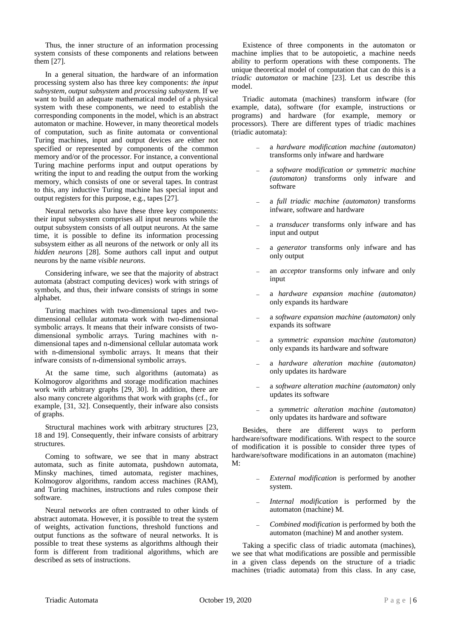Thus, the inner structure of an information processing system consists of these components and relations between them [27].

In a general situation, the hardware of an information processing system also has three key components: *the input subsystem, output subsystem* and *processing subsystem*. If we want to build an adequate mathematical model of a physical system with these components, we need to establish the corresponding components in the model, which is an abstract automaton or machine. However, in many theoretical models of computation, such as finite automata or conventional Turing machines, input and output devices are either not specified or represented by components of the common memory and/or of the processor. For instance, a conventional Turing machine performs input and output operations by writing the input to and reading the output from the working memory, which consists of one or several tapes. In contrast to this, any inductive Turing machine has special input and output registers for this purpose, e.g., tapes [27].

Neural networks also have these three key components: their input subsystem comprises all input neurons while the output subsystem consists of all output neurons. At the same time, it is possible to define its information processing subsystem either as all neurons of the network or only all its *hidden neurons* [28]. Some authors call input and output neurons by the name *visible neurons*.

Considering infware, we see that the majority of abstract automata (abstract computing devices) work with strings of symbols, and thus, their infware consists of strings in some alphabet.

Turing machines with two-dimensional tapes and twodimensional cellular automata work with two-dimensional symbolic arrays. It means that their infware consists of twodimensional symbolic arrays. Turing machines with ndimensional tapes and n-dimensional cellular automata work with n-dimensional symbolic arrays. It means that their infware consists of n-dimensional symbolic arrays.

At the same time, such algorithms (automata) as Kolmogorov algorithms and storage modification machines work with arbitrary graphs [29, 30]. In addition, there are also many concrete algorithms that work with graphs (cf., for example, [31, 32]. Consequently, their infware also consists of graphs.

Structural machines work with arbitrary structures [23, 18 and 19]. Consequently, their infware consists of arbitrary structures.

Coming to software, we see that in many abstract automata, such as finite automata, pushdown automata, Minsky machines, timed automata, register machines, Kolmogorov algorithms, random access machines (RAM), and Turing machines, instructions and rules compose their software.

Neural networks are often contrasted to other kinds of abstract automata. However, it is possible to treat the system of weights, activation functions, threshold functions and output functions as the software of neural networks. It is possible to treat these systems as algorithms although their form is different from traditional algorithms, which are described as sets of instructions.

Existence of three components in the automaton or machine implies that to be autopoietic, a machine needs ability to perform operations with these components. The unique theoretical model of computation that can do this is a *triadic automaton* or machine [23]. Let us describe this model.

Triadic automata (machines) transform infware (for example, data), software (for example, instructions or programs) and hardware (for example, memory or processors). There are different types of triadic machines (triadic automata):

- − a *hardware modification machine (automaton)*  transforms only infware and hardware
- − a *software modification or symmetric machine (automaton)* transforms only infware and software
- − a *full triadic machine (automaton)* transforms infware, software and hardware
- a *transducer* transforms only infware and has input and output
- a *generator* transforms only infware and has only output
- an *acceptor* transforms only infware and only input
- − a *hardware expansion machine (automaton)* only expands its hardware
- − a *software expansion machine (automaton)* only expands its software
- − a *symmetric expansion machine (automaton)* only expands its hardware and software
- − a *hardware alteration machine (automaton)* only updates its hardware
- − a *software alteration machine (automaton)* only updates its software
- − a *symmetric alteration machine (automaton)*  only updates its hardware and software

Besides, there are different ways to perform hardware/software modifications. With respect to the source of modification it is possible to consider three types of hardware/software modifications in an automaton (machine) M:

- − *External modification* is performed by another system.
- − *Internal modification* is performed by the automaton (machine) M.
- − *Combined modification* is performed by both the automaton (machine) M and another system.

Taking a specific class of triadic automata (machines), we see that what modifications are possible and permissible in a given class depends on the structure of a triadic machines (triadic automata) from this class. In any case,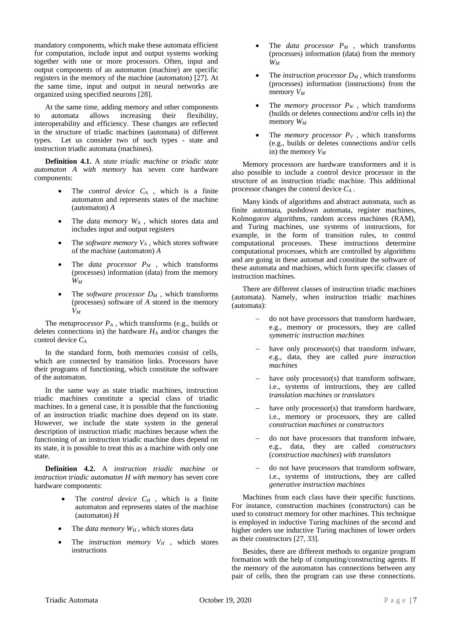mandatory components, which make these automata efficient for computation, include input and output systems working together with one or more processors. Often, input and output components of an automaton (machine) are specific registers in the memory of the machine (automaton) [27]. At the same time, input and output in neural networks are organized using specified neurons [28].

At the same time, adding memory and other components to automata allows increasing their flexibility, interoperability and efficiency. These changes are reflected in the structure of triadic machines (automata) of different types. Let us consider two of such types - state and instruction triadic automata (machines).

**Definition 4.1.** A *state triadic machine* or *triadic state automaton A with memory* has seven core hardware components:

- The *control device C<sup>A</sup>* , which is a finite automaton and represents states of the machine (automaton) *A*
- The *data memory W<sup>A</sup>* , which stores data and includes input and output registers
- The *software memory V<sup>A</sup>* , which stores software of the machine (automaton) *A*
- The *data processor*  $P_M$ , which transforms (processes) information (data) from the memory *W<sup>M</sup>*
- The *software processor*  $D_M$ , which transforms (processes) software of *A* stored in the memory *V<sup>M</sup>*

The *metaprocessor P<sup>A</sup>* , which transforms (e.g., builds or deletes connections in) the hardware *H<sup>A</sup>* and/or changes the control device *C<sup>A</sup>*

In the standard form, both memories consist of cells, which are connected by transition links. Processors have their programs of functioning, which constitute the software of the automaton.

In the same way as state triadic machines, instruction triadic machines constitute a special class of triadic machines. In a general case, it is possible that the functioning of an instruction triadic machine does depend on its state. However, we include the state system in the general description of instruction triadic machines because when the functioning of an instruction triadic machine does depend on its state, it is possible to treat this as a machine with only one state.

**Definition 4.2.** A *instruction triadic machine* or *instruction triadic automaton H with memory* has seven core hardware components:

- The *control device C<sup>H</sup>* , which is a finite automaton and represents states of the machine (automaton) *H*
- The *data memory W<sup>H</sup>* , which stores data
- The *instruction memory*  $V_H$ , which stores instructions
- The *data processor*  $P_M$ , which transforms (processes) information (data) from the memory *W<sup>M</sup>*
- The *instruction processor*  $D_M$ , which transforms (processes) information (instructions) from the memory *V<sup>M</sup>*
- The *memory processor*  $P_W$ , which transforms (builds or deletes connections and/or cells in) the memory *W<sup>M</sup>*
- The *memory processor*  $P_V$ , which transforms (e.g., builds or deletes connections and/or cells in) the memory *V<sup>M</sup>*

Memory processors are hardware transformers and it is also possible to include a control device processor in the structure of an instruction triadic machine. This additional processor changes the control device *C<sup>A</sup>* .

Many kinds of algorithms and abstract automata, such as finite automata, pushdown automata, register machines, Kolmogorov algorithms, random access machines (RAM), and Turing machines, use systems of instructions, for example, in the form of transition rules, to control computational processes. These instructions determine computational processes, which are controlled by algorithms and are going in these automat and constitute the software of these automata and machines, which form specific classes of instruction machines.

There are different classes of instruction triadic machines (automata). Namely, when instruction triadic machines (automata):

- − do not have processors that transform hardware, e.g., memory or processors, they are called *symmetric instruction machines*
- have only processor(s) that transform infware, e.g., data, they are called *pure instruction machines*
- have only processor(s) that transform software, i.e., systems of instructions, they are called *translation machines* or *translators*
- have only processor(s) that transform hardware, i.e., memory or processors, they are called *construction machines* or *constructors*
- − do not have processors that transform infware, e.g., data, they are called *constructors* (*construction machines*) *with translators*
- − do not have processors that transform software, i.e., systems of instructions, they are called *generative instruction machines*

Machines from each class have their specific functions. For instance, construction machines (constructors) can be used to construct memory for other machines. This technique is employed in inductive Turing machines of the second and higher orders use inductive Turing machines of lower orders as their constructors [27, 33].

Besides, there are different methods to organize program formation with the help of computing/constructing agents. If the memory of the automaton has connections between any pair of cells, then the program can use these connections.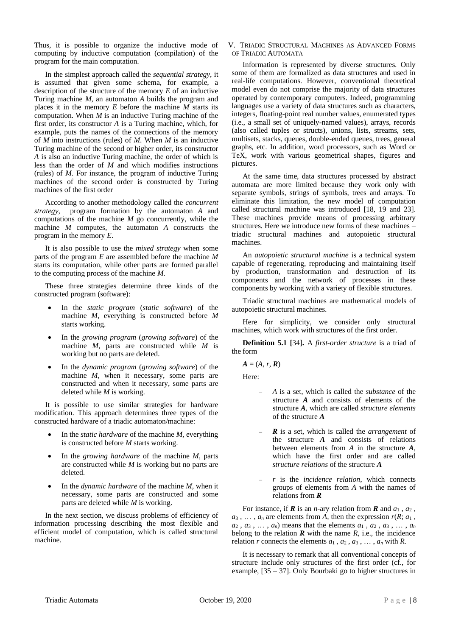Thus, it is possible to organize the inductive mode of computing by inductive computation (compilation) of the program for the main computation.

In the simplest approach called the *sequential strategy*, it is assumed that given some schema, for example, a description of the structure of the memory *E* of an inductive Turing machine *M*, an automaton *A* builds the program and places it in the memory *E* before the machine *M* starts its computation. When *M* is an inductive Turing machine of the first order, its constructor *A* is a Turing machine, which, for example, puts the names of the connections of the memory of *M* into instructions (rules) of *M*. When *M* is an inductive Turing machine of the second or higher order, its constructor *A* is also an inductive Turing machine, the order of which is less than the order of *M* and which modifies instructions (rules) of *M*. For instance, the program of inductive Turing machines of the second order is constructed by Turing machines of the first order

According to another methodology called the *concurrent strategy*, program formation by the automaton *A* and computations of the machine *M* go concurrently, while the machine *M* computes, the automaton *A* constructs the program in the memory *E*.

It is also possible to use the *mixed strategy* when some parts of the program *E* are assembled before the machine *M* starts its computation, while other parts are formed parallel to the computing process of the machine *M*.

These three strategies determine three kinds of the constructed program (software):

- In the *static program* (*static software*) of the machine *M*, everything is constructed before *M* starts working.
- In the *growing program* (*growing software*) of the machine *M*, parts are constructed while *M* is working but no parts are deleted.
- In the *dynamic program* (*growing software*) of the machine *M*, when it necessary, some parts are constructed and when it necessary, some parts are deleted while *M* is working.

It is possible to use similar strategies for hardware modification. This approach determines three types of the constructed hardware of a triadic automaton/machine:

- In the *static hardware* of the machine *M*, everything is constructed before *M* starts working.
- In the *growing hardware* of the machine *M*, parts are constructed while *M* is working but no parts are deleted.
- In the *dynamic hardware* of the machine *M*, when it necessary, some parts are constructed and some parts are deleted while *M* is working.

In the next section, we discuss problems of efficiency of information processing describing the most flexible and efficient model of computation, which is called structural machine.

V. TRIADIC STRUCTURAL MACHINES AS ADVANCED FORMS OF TRIADIC AUTOMATA

Information is represented by diverse structures. Only some of them are formalized as data structures and used in real-life computations. However, conventional theoretical model even do not comprise the majority of data structures operated by contemporary computers. Indeed, programming languages use a variety of data structures such as characters, integers, floating-point real number values, enumerated types (i.e., a small set of uniquely-named values), arrays, records (also called tuples or structs), unions, lists, streams, sets, multisets, stacks, queues, double-ended queues, trees, general graphs, etc. In addition, word processors, such as Word or TeX, work with various geometrical shapes, figures and pictures.

At the same time, data structures processed by abstract automata are more limited because they work only with separate symbols, strings of symbols, trees and arrays. To eliminate this limitation, the new model of computation called structural machine was introduced [18, 19 and 23]. These machines provide means of processing arbitrary structures. Here we introduce new forms of these machines – triadic structural machines and autopoietic structural machines.

An *autopoietic structural machine* is a technical system capable of regenerating, reproducing and maintaining itself by production, transformation and destruction of its components and the network of processes in these components by working with a variety of flexible structures.

Triadic structural machines are mathematical models of autopoietic structural machines.

Here for simplicity, we consider only structural machines, which work with structures of the first order.

**Definition 5.1 [**34]**.** A *first-order structure* is a triad of the form

 $A = (A, r, R)$ 

Here:

- − *A* is a set, which is called the *substance* of the structure *A* and consists of elements of the structure *A*, which are called *structure elements* of the structure *A*
- *R* is a set, which is called the *arrangement* of the structure *A* and consists of relations between elements from *A* in the structure *A*, which have the first order and are called *structure relations* of the structure *A*
- − *r* is the *incidence relation*, which connects groups of elements from *A* with the names of relations from *R*

For instance, if  $\mathbf{R}$  is an *n*-ary relation from  $\mathbf{R}$  and  $a_1$ ,  $a_2$ ,  $a_3$ ,  $\dots$ ,  $a_n$  are elements from *A*, then the expression  $r(R; a_1)$ ,  $a_2$ ,  $a_3$ ,  $\dots$ ,  $a_n$ ) means that the elements  $a_1$ ,  $a_2$ ,  $a_3$ ,  $\dots$ ,  $a_n$ belong to the relation  $\vec{R}$  with the name  $\vec{R}$ , i.e., the incidence relation *r* connects the elements  $a_1, a_2, a_3, \ldots, a_n$  with *R*.

It is necessary to remark that all conventional concepts of structure include only structures of the first order (cf., for example, [35 – 37]. Only Bourbaki go to higher structures in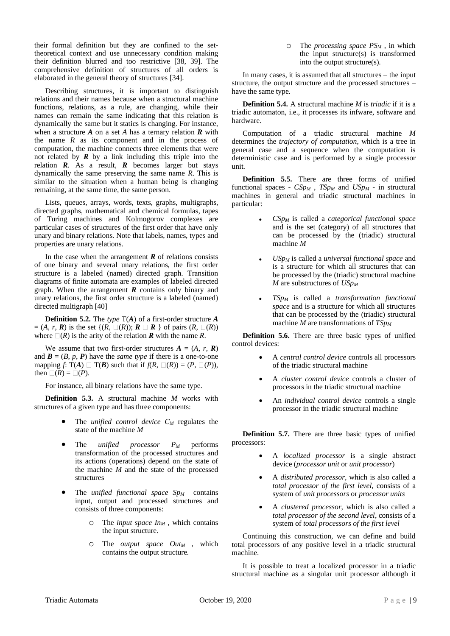their formal definition but they are confined to the settheoretical context and use unnecessary condition making their definition blurred and too restrictive [38, 39]. The comprehensive definition of structures of all orders is elaborated in the general theory of structures [34].

Describing structures, it is important to distinguish relations and their names because when a structural machine functions, relations, as a rule, are changing, while their names can remain the same indicating that this relation is dynamically the same but it statics is changing. For instance, when a structure *A* on a set *A* has a ternary relation *R* with the name  $R$  as its component and in the process of computation, the machine connects three elements that were not related by  $\vec{R}$  by a link including this triple into the relation *R*. As a result, *R* becomes larger but stays dynamically the same preserving the same name *R*. This is similar to the situation when a human being is changing remaining, at the same time, the same person.

Lists, queues, arrays, words, texts, graphs, multigraphs, directed graphs, mathematical and chemical formulas, tapes of Turing machines and Kolmogorov complexes are particular cases of structures of the first order that have only unary and binary relations. Note that labels, names, types and properties are unary relations.

In the case when the arrangement  $\bf{R}$  of relations consists of one binary and several unary relations, the first order structure is a labeled (named) directed graph. Transition diagrams of finite automata are examples of labeled directed graph. When the arrangement *R* contains only binary and unary relations, the first order structure is a labeled (named) directed multigraph [40]

**Definition 5.2.** The *type* T(*A*) of a first-order structure *A*  $=(A, r, R)$  is the set  $\{(R, \Box(R)); R \Box R \}$  of pairs  $(R, \Box(R))$ where  $\Box(R)$  is the arity of the relation *R* with the name *R*.

We assume that two first-order structures  $A = (A, r, R)$ and  $\mathbf{B} = (B, p, \mathbf{P})$  have the *same type* if there is a one-to-one mapping *f*:  $T(A) \square T(B)$  such that if  $f(R, \square(R)) = (P, \square(P)),$ then  $\square(R) = \square(P)$ .

For instance, all binary relations have the same type.

**Definition 5.3.** A structural machine *M* works with structures of a given type and has three components:

- The *unified* control device  $C_M$  regulates the state of the machine *M*
- The *unified processor P<sup>M</sup>* performs transformation of the processed structures and its actions (operations) depend on the state of the machine *M* and the state of the processed structures
- The *unified functional space Sp<sup>M</sup>* contains input, output and processed structures and consists of three components:
	- o The *input space In<sup>M</sup>* , which contains the input structure.
	- o The *output space Out<sup>M</sup>* , which contains the output structure*.*

o The *processing space PS<sup>M</sup>* , in which the input structure(s) is transformed into the output structure(s)*.* 

In many cases, it is assumed that all structures – the input structure, the output structure and the processed structures – have the same type.

**Definition 5.4.** A structural machine *M* is *triadic* if it is a triadic automaton, i.e., it processes its infware, software and hardware.

Computation of a triadic structural machine *M* determines the *trajectory of computation*, which is a tree in general case and a sequence when the computation is deterministic case and is performed by a single processor unit.

**Definition 5.5.** There are three forms of unified functional spaces - *CSp<sup>M</sup>* , *TSp<sup>M</sup>* and *USp<sup>M</sup>* - in structural machines in general and triadic structural machines in particular:

- *CSp<sup>M</sup>* is called a *categorical functional space* and is the set (category) of all structures that can be processed by the (triadic) structural machine *M*
- *USp<sup>M</sup>* is called a *universal functional space* and is a structure for which all structures that can be processed by the (triadic) structural machine *M* are substructures of *USp<sup>M</sup>*
- *TSp<sup>M</sup>* is called a *transformation functional space* and is a structure for which all structures that can be processed by the (triadic) structural machine *M* are transformations of *TSp<sup>M</sup>*

**Definition 5.6.** There are three basic types of unified control devices:

- A *central control device* controls all processors of the triadic structural machine
- A *cluster control device* controls a cluster of processors in the triadic structural machine
- An *individual control device* controls a single processor in the triadic structural machine

**Definition 5.7.** There are three basic types of unified processors:

- A *localized processor* is a single abstract device (*processor unit* or *unit processor*)
- A *distributed processor*, which is also called a *total processor of the first level*, consists of a system of *unit processors* or *processor units*
- A *clustered processor*, which is also called a *total processor of the second level*, consists of a system of *total processors of the first level*

Continuing this construction, we can define and build total processors of any positive level in a triadic structural machine.

It is possible to treat a localized processor in a triadic structural machine as a singular unit processor although it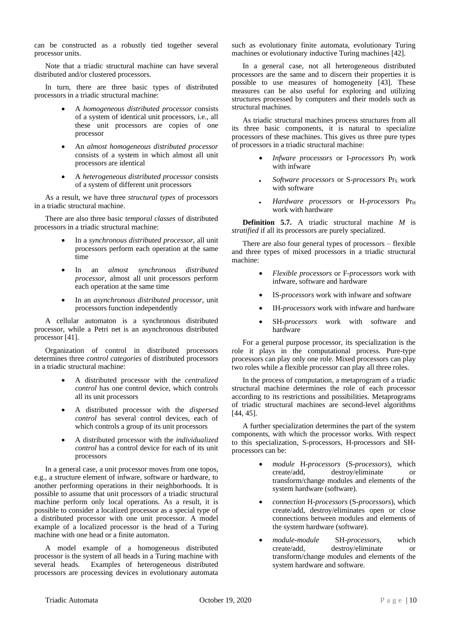can be constructed as a robustly tied together several processor units.

Note that a triadic structural machine can have several distributed and/or clustered processors.

In turn, there are three basic types of distributed processors in a triadic structural machine:

- A *homogeneous distributed processor* consists of a system of identical unit processors, i.e., all these unit processors are copies of one processor
- An *almost homogeneous distributed processor* consists of a system in which almost all unit processors are identical
- A *heterogeneous distributed processor* consists of a system of different unit processors

As a result, we have three *structural types* of processors in a triadic structural machine.

There are also three basic *temporal classes* of distributed processors in a triadic structural machine:

- In a *synchronous distributed processor*, all unit processors perform each operation at the same time
- In an *almost synchronous distributed processor*, almost all unit processors perform each operation at the same time
- In an *asynchronous distributed processor*, unit processors function independently

A cellular automaton is a synchronous distributed processor, while a Petri net is an asynchronous distributed processor [41].

Organization of control in distributed processors determines three *control categories* of distributed processors in a triadic structural machine:

- A distributed processor with the *centralized control* has one control device, which controls all its unit processors
- A distributed processor with the *dispersed control* has several control devices, each of which controls a group of its unit processors
- A distributed processor with the *individualized control* has a control device for each of its unit processors

In a general case, a unit processor moves from one topos, e.g., a structure element of infware, software or hardware, to another performing operations in their neighborhoods. It is possible to assume that unit processors of a triadic structural machine perform only local operations. As a result, it is possible to consider a localized processor as a special type of a distributed processor with one unit processor. A model example of a localized processor is the head of a Turing machine with one head or a finite automaton.

A model example of a homogeneous distributed processor is the system of all heads in a Turing machine with several heads. Examples of heterogeneous distributed processors are processing devices in evolutionary automata

such as evolutionary finite automata, evolutionary Turing machines or evolutionary inductive Turing machines [42].

In a general case, not all heterogeneous distributed processors are the same and to discern their properties it is possible to use measures of homogeneity [43]. These measures can be also useful for exploring and utilizing structures processed by computers and their models such as structural machines.

As triadic structural machines process structures from all its three basic components, it is natural to specialize processors of these machines. This gives us three pure types of processors in a triadic structural machine:

- *Infware processors* or I-*processors* Pr<sub>I</sub> work with infware
- Software processors or S-processors Pr<sub>S</sub> work with software
- *Hardware processors* or H-*processors* Pr<sub>H</sub> work with hardware

**Definition 5.7.** A triadic structural machine *M* is *stratified* if all its processors are purely specialized.

There are also four general types of processors – flexible and three types of mixed processors in a triadic structural machine:

- *Flexible processors* or F-*processors* work with infware, software and hardware
- IS-*processors* work with infware and software
- IH-*processors* work with infware and hardware
- SH-*processors* work with software and hardware

For a general purpose processor, its specialization is the role it plays in the computational process. Pure-type processors can play only one role. Mixed processors can play two roles while a flexible processor can play all three roles.

In the process of computation, a metaprogram of a triadic structural machine determines the role of each processor according to its restrictions and possibilities. Metaprograms of triadic structural machines are second-level algorithms [44, 45].

A further specialization determines the part of the system components, with which the processor works. With respect to this specialization, S-processors, H-processors and SHprocessors can be:

- *module* H-*processors* (S-*processors*), which create/add, destroy/eliminate or transform/change modules and elements of the system hardware (software).
- *connection* H-*processors* (S-*processors*), which create/add, destroy/eliminates open or close connections between modules and elements of the system hardware (software).
- *module*-*module* SH-*processors*, which create/add, destroy/eliminate or transform/change modules and elements of the system hardware and software.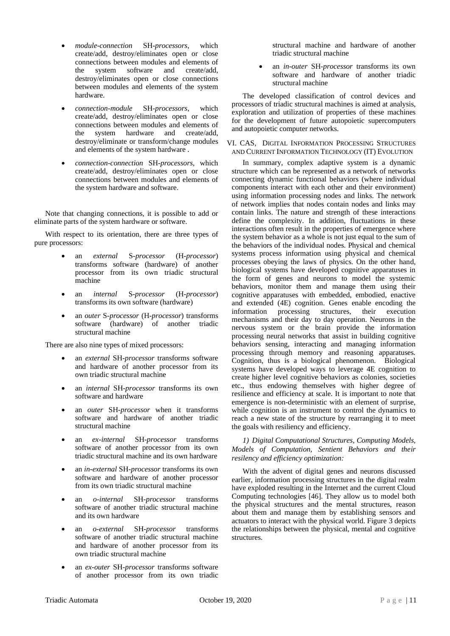- *module*-*connection* SH-*processors*, which create/add, destroy/eliminates open or close connections between modules and elements of<br>the system software and create/add. the system software and create/add, destroy/eliminates open or close connections between modules and elements of the system hardware.
- *connection*-*module* SH-*processors*, which create/add, destroy/eliminates open or close connections between modules and elements of the system hardware and create/add, destroy/eliminate or transform/change modules and elements of the system hardware .
- *connection*-*connection* SH-*processors*, which create/add, destroy/eliminates open or close connections between modules and elements of the system hardware and software.

Note that changing connections, it is possible to add or eliminate parts of the system hardware or software.

With respect to its orientation, there are three types of pure processors:

- an *external* S-*processor* (H-*processor*) transforms software (hardware) of another processor from its own triadic structural machine
- an *internal* S-*processor* (H-*processor*) transforms its own software (hardware)
- an *outer* S-*processor* (H-*processor*) transforms software (hardware) of another triadic structural machine

There are also nine types of mixed processors:

- an *external* SH-*processor* transforms software and hardware of another processor from its own triadic structural machine
- an *internal* SH-*processor* transforms its own software and hardware
- an *outer* SH-*processor* when it transforms software and hardware of another triadic structural machine
- an *ex*-*internal* SH-*processor* transforms software of another processor from its own triadic structural machine and its own hardware
- an *in*-*external* SH-*processor* transforms its own software and hardware of another processor from its own triadic structural machine
- an *o*-*internal* SH-*processor* transforms software of another triadic structural machine and its own hardware
- an *o*-*external* SH-*processor* transforms software of another triadic structural machine and hardware of another processor from its own triadic structural machine
- an *ex*-*outer* SH-*processor* transforms software of another processor from its own triadic

structural machine and hardware of another triadic structural machine

• an *in*-*outer* SH-*processor* transforms its own software and hardware of another triadic structural machine

The developed classification of control devices and processors of triadic structural machines is aimed at analysis, exploration and utilization of properties of these machines for the development of future autopoietic supercomputers and autopoietic computer networks.

## VI. CAS, DIGITAL INFORMATION PROCESSING STRUCTURES AND CURRENT INFORMATION TECHNOLOGY (IT) EVOLUTION

In summary, complex adaptive system is a dynamic structure which can be represented as a network of networks connecting dynamic functional behaviors (where individual components interact with each other and their environment) using information processing nodes and links. The network of network implies that nodes contain nodes and links may contain links. The nature and strength of these interactions define the complexity. In addition, fluctuations in these interactions often result in the properties of emergence where the system behavior as a whole is not just equal to the sum of the behaviors of the individual nodes. Physical and chemical systems process information using physical and chemical processes obeying the laws of physics. On the other hand, biological systems have developed cognitive apparatuses in the form of genes and neurons to model the systemic behaviors, monitor them and manage them using their cognitive apparatuses with embedded, embodied, enactive and extended (4E) cognition. Genes enable encoding the information processing structures, their execution mechanisms and their day to day operation. Neurons in the nervous system or the brain provide the information processing neural networks that assist in building cognitive behaviors sensing, interacting and managing information processing through memory and reasoning apparatuses. Cognition, thus is a biological phenomenon. Biological systems have developed ways to leverage 4E cognition to create higher level cognitive behaviors as colonies, societies etc., thus endowing themselves with higher degree of resilience and efficiency at scale. It is important to note that emergence is non-deterministic with an element of surprise, while cognition is an instrument to control the dynamics to reach a new state of the structure by rearranging it to meet the goals with resiliency and efficiency.

# *1) Digital Computational Structures, Computing Models, Models of Computation, Sentient Behaviors and their resilency and efficiency optimization:*

With the advent of digital genes and neurons discussed earlier, information processing structures in the digital realm have exploded resulting in the Internet and the current Cloud Computing technologies [46]. They allow us to model both the physical structures and the mental structures, reason about them and manage them by establishing sensors and actuators to interact with the physical world. Figure 3 depicts the relationships between the physical, mental and cognitive structures.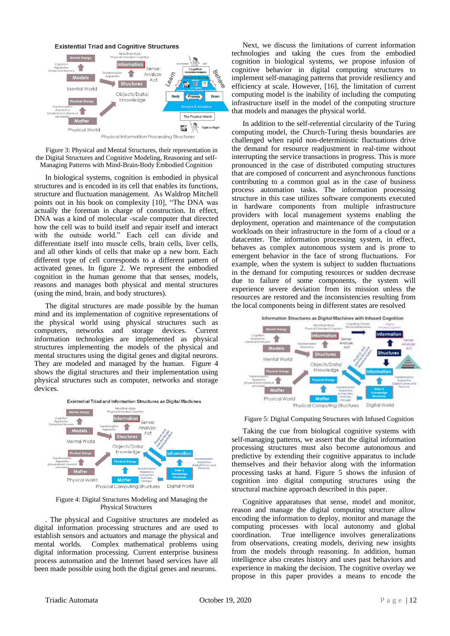

Figure 3: Physical and Mental Structures, their representation in the Digital Structures and Cognitive Modeling, Reasoning and self-Managing Patterns with Mind-Brain-Body Embodied Cognition

In biological systems, cognition is embodied in physical structures and is encoded in its cell that enables its functions, structure and fluctuation management. As Waldrop Mitchell points out in his book on complexity [10], "The DNA was actually the foreman in charge of construction. In effect, DNA was a kind of molecular -scale computer that directed how the cell was to build itself and repair itself and interact with the outside world." Each cell can divide and differentiate itself into muscle cells, brain cells, liver cells, and all other kinds of cells that make up a new born. Each different type of cell corresponds to a different pattern of activated genes. In figure 2. We represent the embodied cognition in the human genome that that senses, models, reasons and manages both physical and mental structures (using the mind, brain, and body structures).

The digital structures are made possible by the human mind and its implementation of cognitive representations of the physical world using physical structures such as computers, networks and storage devices. Current information technologies are implemented as physical structures implementing the models of the physical and mental structures using the digital genes and digital neurons. They are modeled and managed by the human. Figure 4 shows the digital structures and their implementation using physical structures such as computer, networks and storage devices.



#### Figure 4: Digital Structures Modeling and Managing the Physical Structures

. The physical and Cognitive structures are modeled as digital information processing structures and are used to establish sensors and actuators and manage the physical and mental worlds. Complex mathematical problems using digital information processing. Current enterprise business process automation and the Internet based services have all been made possible using both the digital genes and neurons.

Next, we discuss the limitations of current information technologies and taking the cues from the embodied cognition in biological systems, we propose infusion of cognitive behavior in digital computing structures to implement self-managing patterns that provide resiliency and efficiency at scale. However, [16], the limitation of current computing model is the inability of including the computing infrastructure itself in the model of the computing structure that models and manages the physical world.

In addition to the self-referential circularity of the Turing computing model, the Church-Turing thesis boundaries are challenged when rapid non-deterministic fluctuations drive the demand for resource readjustment in real-time without interrupting the service transactions in progress. This is more pronounced in the case of distributed computing structures that are composed of concurrent and asynchronous functions contributing to a common goal as in the case of business process automation tasks. The information processing structure in this case utilizes software components executed in hardware components from multiple infrastructure providers with local management systems enabling the deployment, operation and maintenance of the computation workloads on their infrastructure in the form of a cloud or a datacenter. The information processing system, in effect, behaves as complex autonomous system and is prone to emergent behavior in the face of strong fluctuations. For example, when the system is subject to sudden fluctuations in the demand for computing resources or sudden decrease due to failure of some components, the system will experience severe deviation from its mission unless the resources are restored and the inconsistencies resulting from the local components being in different states are resolved



Figure 5: Digital Computing Structures with Infused Cognition

Taking the cue from biological cognitive systems with self-managing patterns, we assert that the digital information processing structures must also become autonomous and predictive by extending their cognitive apparatus to include themselves and their behavior along with the information processing tasks at hand. Figure 5 shows the infusion of cognition into digital computing structures using the structural machine approach described in this paper.

Cognitive apparatuses that sense, model and monitor, reason and manage the digital computing structure allow encoding the information to deploy, monitor and manage the computing processes with local autonomy and global coordination. True intelligence involves generalizations from observations, creating models, deriving new insights from the models through reasoning. In addition, human intelligence also creates history and uses past behaviors and experience in making the decision. The cognitive overlay we propose in this paper provides a means to encode the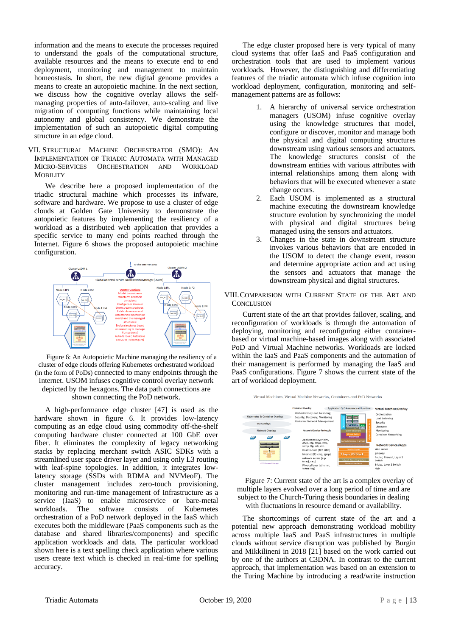information and the means to execute the processes required to understand the goals of the computational structure, available resources and the means to execute end to end deployment, monitoring and management to maintain homeostasis. In short, the new digital genome provides a means to create an autopoietic machine. In the next section, we discuss how the cognitive overlay allows the selfmanaging properties of auto-failover, auto-scaling and live migration of computing functions while maintaining local autonomy and global consistency. We demonstrate the implementation of such an autopoietic digital computing structure in an edge cloud.

VII. STRUCTURAL MACHINE ORCHESTRATOR (SMO): AN IMPLEMENTATION OF TRIADIC AUTOMATA WITH MANAGED MICRO-SERVICES ORCHESTRATION AND WORKLOAD **MOBILITY** 

We describe here a proposed implementation of the triadic structural machine which processes its infware, software and hardware. We propose to use a cluster of edge clouds at Golden Gate University to demonstrate the autopoietic features by implementing the resiliency of a workload as a distributed web application that provides a specific service to many end points reached through the Internet. Figure 6 shows the proposed autopoietic machine configuration.



Figure 6: An Autopoietic Machine managing the resiliency of a cluster of edge clouds offering Kubernetes orchestrated workload (in the form of PoDs) connected to many endpoints through the Internet. USOM infuses cognitive control overlay network depicted by the hexagons. The data path connections are shown connecting the PoD network.

A high-performance edge cluster [47] is used as the hardware shown in figure 6. It provides low-latency computing as an edge cloud using commodity off-the-shelf computing hardware cluster connected at 100 GbE over fiber. It eliminates the complexity of legacy networking stacks by replacing merchant switch ASIC SDKs with a streamlined user space driver layer and using only L3 routing with leaf-spine topologies. In addition, it integrates lowlatency storage (SSDs with RDMA and NVMeoF). The cluster management includes zero-touch provisioning, monitoring and run-time management of Infrastructure as a service (IaaS) to enable microservice or bare-metal<br>workloads. The software consists of Kubernetes workloads. The software consists of Kubernetes orchestration of a PoD network deployed in the IaaS which executes both the middleware (PaaS components such as the database and shared libraries/components) and specific application workloads and data. The particular workload shown here is a text spelling check application where various users create text which is checked in real-time for spelling accuracy.

The edge cluster proposed here is very typical of many cloud systems that offer IaaS and PaaS configuration and orchestration tools that are used to implement various workloads. However, the distinguishing and differentiating features of the triadic automata which infuse cognition into workload deployment, configuration, monitoring and selfmanagement patterns are as follows:

- 1. A hierarchy of universal service orchestration managers (USOM) infuse cognitive overlay using the knowledge structures that model, configure or discover, monitor and manage both the physical and digital computing structures downstream using various sensors and actuators. The knowledge structures consist of the downstream entities with various attributes with internal relationships among them along with behaviors that will be executed whenever a state change occurs.
- 2. Each USOM is implemented as a structural machine executing the downstream knowledge structure evolution by synchronizing the model with physical and digital structures being managed using the sensors and actuators.
- 3. Changes in the state in downstream structure invokes various behaviors that are encoded in the USOM to detect the change event, reason and determine appropriate action and act using the sensors and actuators that manage the downstream physical and digital structures.

#### VIII.COMPARISION WITH CURRENT STATE OF THE ART AND **CONCLUSION**

Current state of the art that provides failover, scaling, and reconfiguration of workloads is through the automation of deploying, monitoring and reconfiguring either containerbased or virtual machine-based images along with associated PoD and Virtual Machine networks. Workloads are locked within the IaaS and PaaS components and the automation of their management is performed by managing the IaaS and PaaS configurations. Figure 7 shows the current state of the art of workload deployment.



Figure 7: Current state of the art is a complex overlay of multiple layers evolved over a long period of time and are subject to the Church-Turing thesis boundaries in dealing with fluctuations in resource demand or availability.

The shortcomings of current state of the art and a potential new approach demonstrating workload mobility across multiple IaaS and PaaS infrastructures in multiple clouds without service disruption was published by Burgin and Mikkilineni in 2018 [21] based on the work carried out by one of the authors at C3DNA. In contrast to the current approach, that implementation was based on an extension to the Turing Machine by introducing a read/write instruction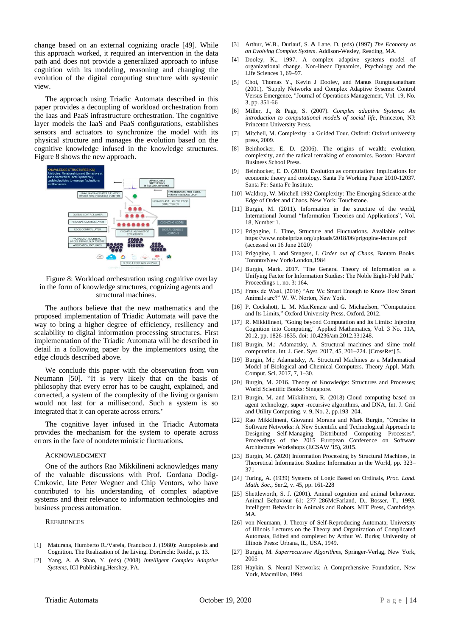change based on an external cognizing oracle [49]. While this approach worked, it required an intervention in the data path and does not provide a generalized approach to infuse cognition with its modeling, reasoning and changing the evolution of the digital computing structure with systemic view.

The approach using Triadic Automata described in this paper provides a decoupling of workload orchestration from the Iaas and PaaS infrastructure orchestration. The cognitive layer models the IaaS and PaaS configurations, establishes sensors and actuators to synchronize the model with its physical structure and manages the evolution based on the cognitive knowledge infused in the knowledge structures. Figure 8 shows the new approach.



Figure 8: Workload orchestration using cognitive overlay in the form of knowledge structures, cognizing agents and structural machines.

The authors believe that the new mathematics and the proposed implementation of Triadic Automata will pave the way to bring a higher degree of efficiency, resiliency and scalability to digital information processing structures. First implementation of the Triadic Automata will be described in detail in a following paper by the implementors using the edge clouds described above.

We conclude this paper with the observation from von Neumann [50]. "It is very likely that on the basis of philosophy that every error has to be caught, explained, and corrected, a system of the complexity of the living organism would not last for a millisecond. Such a system is so integrated that it can operate across errors."

The cognitive layer infused in the Triadic Automata provides the mechanism for the system to operate across errors in the face of nondeterministic fluctuations.

#### ACKNOWLEDGMENT

One of the authors Rao Mikkilineni acknowledges many of the valuable discussions with Prof. Gordana Dodig-Crnkovic, late Peter Wegner and Chip Ventors, who have contributed to his understanding of complex adaptive systems and their relevance to information technologies and business process automation.

#### **REFERENCES**

- [1] Maturana, Humberto R./Varela, Francisco J. (1980): Autopoiesis and Cognition. The Realization of the Living. Dordrecht: Reidel, p. 13.
- [2] Yang, A. & Shan, Y. (eds) (2008) *Intelligent Complex Adaptive Systems*, IGI Publishing,Hershey, PA.
- [3] Arthur, W.B., Durlauf, S. & Lane, D. (eds) (1997) *The Economy as an Evolving Complex System*. Addison-Wesley, Reading, MA.
- [4] Dooley, K., 1997. A complex adaptive systems model of organizational change. Non-linear Dynamics, Psychology and the Life Sciences 1, 69–97.
- [5] Choi, Thomas Y., Kevin J Dooley, and Manus Rungtusanatham (2001), "Supply Networks and Complex Adaptive Sysems: Control Versus Emergence, "Journal of Operations Management, Vol. 19, No. 3, pp. 351-66
- [6] Miller, J., & Page, S. (2007). *Complex adaptive Systems: An introduction to computational models of social life*, Princeton, NJ: Princeton University Press.
- [7] Mitchell, M. Complexity : a Guided Tour. Oxford: Oxford university press, 2009.
- [8] Beinhocker, E. D. (2006). The origins of wealth: evolution, complexity, and the radical remaking of economics. Boston: Harvard Business School Press.
- [9] Beinhocker, E. D. (2010). Evolution as computation: Implications for economic theory and ontology. Santa Fe Working Paper 2010-12037. Santa Fe: Santa Fe Institute.
- [10] Waldrop, W. Mitchell 1992 Complexity: The Emerging Science at the Edge of Order and Chaos. New York: Touchstone.
- [11] Burgin, M. (2011). Information in the structure of the world, International Journal "Information Theories and Applications", Vol. 18, Number 1.
- [12] Prigogine, I. Time, Structure and Fluctuations. Available online: https://www.nobelprize.org/uploads/2018/06/prigogine-lecture.pdf (accessed on 16 June 2020)
- [13] Prigogine, I. and Stengers, I. *Order out of Chaos*, Bantam Books, Toronto/New York/London,1984
- [14] Burgin, Mark. 2017. "The General Theory of Information as a Unifying Factor for Information Studies: The Noble Eight-Fold Path." Proceedings 1, no. 3: 164.
- [15] Frans de Waal, (2016) "Are We Smart Enough to Know How Smart Animals are?" W. W. Norton, New York.
- [16] P. Cockshott, L. M. MacKenzie and G. Michaelson, "Computation and Its Limits," Oxford University Press, Oxford, 2012.
- [17] R. Mikkilineni, "Going beyond Computation and Its Limits: Injecting Cognition into Computing," Applied Mathematics, Vol. 3 No. 11A, 2012, pp. 1826-1835. doi: 10.4236/am.2012.331248.
- [18] Burgin, M.; Adamatzky, A. Structural machines and slime mold computation. Int. J. Gen. Syst. 2017, 45, 201–224. [CrossRef] 5.
- [19] Burgin, M.; Adamatzky, A. Structural Machines as a Mathematical Model of Biological and Chemical Computers. Theory Appl. Math. Comput. Sci. 2017, 7, 1–30.
- [20] Burgin, M. 2016. Theory of Knowledge: Structures and Processes; World Scientific Books: Singapore.
- [21] Burgin, M. and Mikkilineni, R. (2018) Cloud computing based on agent technology, super -recursive algorithms, and DNA, Int. J. Grid and Utility Computing, v. 9, No. 2, pp.193–204.
- [22] Rao Mikkilineni, Giovanni Morana and Mark Burgin, "Oracles in Software Networks: A New Scientific and Technological Approach to Designing Self-Managing Distributed Computing Processes", Proceedings of the 2015 European Conference on Software Architecture Workshops (ECSAW '15), 2015.
- [23] Burgin, M. (2020) Information Processing by Structural Machines, in Theoretical Information Studies: Information in the World, pp. 323– 371
- [24] Turing, A. (1939) Systems of Logic Based on Ordinals, *Proc. Lond. Math. Soc.,* Ser.2, v. 45, pp. 161-228
- [25] Shettleworth, S. J. (2001). Animal cognition and animal behaviour. Animal Behaviour 61: 277–286McFarland, D., Bosser, T., 1993. Intelligent Behavior in Animals and Robots. MIT Press, Cambridge, MA.
- [26] von Neumann, J. Theory of Self-Reproducing Automata; University of Illinois Lectures on the Theory and Organization of Complicated Automata, Edited and completed by Arthur W. Burks; University of Illinois Press: Urbana, IL, USA, 1949.
- [27] Burgin, M. *Superrecursive Algorithms*, Springer-Verlag, New York, 2005
- [28] Haykin, S. Neural Networks: A Comprehensive Foundation, New York, Macmillan, 1994.